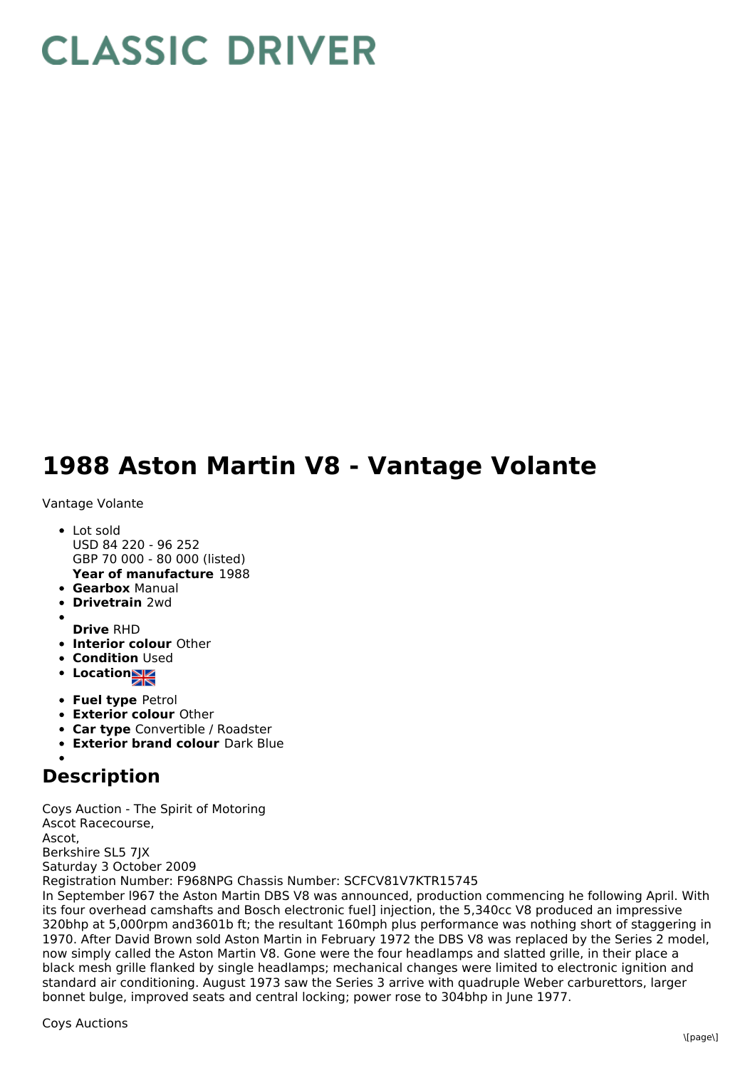## **CLASSIC DRIVER**

## **1988 Aston Martin V8 - Vantage Volante**

Vantage Volante

- **Year of manufacture** 1988 Lot sold USD 84 220 - 96 252 GBP 70 000 - 80 000 (listed)
- **Gearbox** Manual
- **Drivetrain** 2wd
- 
- **Drive** RHD
- **Interior colour** Other
- **Condition Used**
- **Location**
- **Fuel type** Petrol
- **Exterior colour** Other
- **Car type** Convertible / Roadster
- **Exterior brand colour** Dark Blue

## **Description**

Coys Auction - The Spirit of Motoring Ascot Racecourse, Ascot, Berkshire SL5 7JX Saturday 3 October 2009 Registration Number: F968NPG Chassis Number: SCFCV81V7KTR15745

In September l967 the Aston Martin DBS V8 was announced, production commencing he following April. With its four overhead camshafts and Bosch electronic fuel] injection, the 5,340cc V8 produced an impressive 320bhp at 5,000rpm and3601b ft; the resultant 160mph plus performance was nothing short of staggering in 1970. After David Brown sold Aston Martin in February 1972 the DBS V8 was replaced by the Series 2 model, now simply called the Aston Martin V8. Gone were the four headlamps and slatted grille, in their place a black mesh grille flanked by single headlamps; mechanical changes were limited to electronic ignition and standard air conditioning. August 1973 saw the Series 3 arrive with quadruple Weber carburettors, larger bonnet bulge, improved seats and central locking; power rose to 304bhp in June 1977.

Coys Auctions